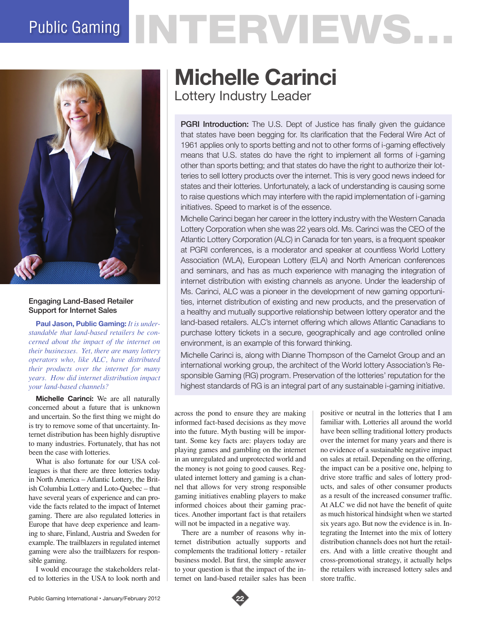# Public Gaming NTERVEWS.



## Engaging Land-Based Retailer Support for Internet Sales

**Paul Jason, Public Gaming:** *It is understandable that land-based retailers be concerned about the impact of the internet on their businesses. Yet, there are many lottery operators who, like ALC, have distributed their products over the internet for many years. How did internet distribution impact your land-based channels?* 

**Michelle Carinci:** We are all naturally concerned about a future that is unknown and uncertain. So the first thing we might do is try to remove some of that uncertainty. Internet distribution has been highly disruptive to many industries. Fortunately, that has not been the case with lotteries.

What is also fortunate for our USA colleagues is that there are three lotteries today in North America – Atlantic Lottery, the British Columbia Lottery and Loto-Quebec – that have several years of experience and can provide the facts related to the impact of Internet gaming. There are also regulated lotteries in Europe that have deep experience and learning to share, Finland, Austria and Sweden for example. The trailblazers in regulated internet gaming were also the trailblazers for responsible gaming.

I would encourage the stakeholders related to lotteries in the USA to look north and

# **Michelle Carinci** Lottery Industry Leader

PGRI Introduction: The U.S. Dept of Justice has finally given the guidance that states have been begging for. Its clarification that the Federal Wire Act of 1961 applies only to sports betting and not to other forms of i-gaming effectively means that U.S. states do have the right to implement all forms of i-gaming other than sports betting; and that states do have the right to authorize their lotteries to sell lottery products over the internet. This is very good news indeed for states and their lotteries. Unfortunately, a lack of understanding is causing some to raise questions which may interfere with the rapid implementation of i-gaming initiatives. Speed to market is of the essence.

Michelle Carinci began her career in the lottery industry with the Western Canada Lottery Corporation when she was 22 years old. Ms. Carinci was the CEO of the Atlantic Lottery Corporation (ALC) in Canada for ten years, is a frequent speaker at PGRI conferences, is a moderator and speaker at countless World Lottery Association (WLA), European Lottery (ELA) and North American conferences and seminars, and has as much experience with managing the integration of internet distribution with existing channels as anyone. Under the leadership of Ms. Carinci, ALC was a pioneer in the development of new gaming opportunities, internet distribution of existing and new products, and the preservation of a healthy and mutually supportive relationship between lottery operator and the land-based retailers. ALC's internet offering which allows Atlantic Canadians to purchase lottery tickets in a secure, geographically and age controlled online environment, is an example of this forward thinking.

Michelle Carinci is, along with Dianne Thompson of the Camelot Group and an international working group, the architect of the World lottery Association's Responsible Gaming (RG) program. Preservation of the lotteries' reputation for the highest standards of RG is an integral part of any sustainable i-gaming initiative.

across the pond to ensure they are making informed fact-based decisions as they move into the future. Myth busting will be important. Some key facts are: players today are playing games and gambling on the internet in an unregulated and unprotected world and the money is not going to good causes. Regulated internet lottery and gaming is a channel that allows for very strong responsible gaming initiatives enabling players to make informed choices about their gaming practices. Another important fact is that retailers will not be impacted in a negative way.

There are a number of reasons why internet distribution actually supports and complements the traditional lottery - retailer business model. But first, the simple answer to your question is that the impact of the internet on land-based retailer sales has been positive or neutral in the lotteries that I am familiar with. Lotteries all around the world have been selling traditional lottery products over the internet for many years and there is no evidence of a sustainable negative impact on sales at retail. Depending on the offering, the impact can be a positive one, helping to drive store traffic and sales of lottery products, and sales of other consumer products as a result of the increased consumer traffic. At ALC we did not have the benefit of quite as much historical hindsight when we started six years ago. But now the evidence is in. Integrating the Internet into the mix of lottery distribution channels does not hurt the retailers. And with a little creative thought and cross-promotional strategy, it actually helps the retailers with increased lottery sales and store traffic.

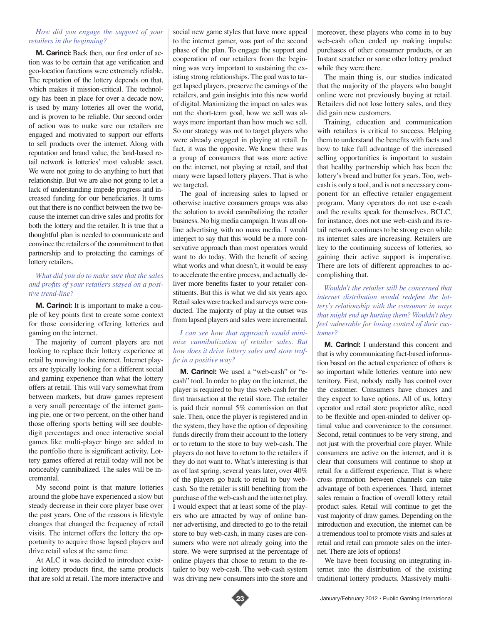### *How did you engage the support of your retailers in the beginning?*

**M. Carinci:** Back then, our first order of action was to be certain that age verification and geo-location functions were extremely reliable. The reputation of the lottery depends on that, which makes it mission-critical. The technology has been in place for over a decade now, is used by many lotteries all over the world, and is proven to be reliable. Our second order of action was to make sure our retailers are engaged and motivated to support our efforts to sell products over the internet. Along with reputation and brand value, the land-based retail network is lotteries' most valuable asset. We were not going to do anything to hurt that relationship. But we are also not going to let a lack of understanding impede progress and increased funding for our beneficiaries. It turns out that there is no conflict between the two because the internet can drive sales and profits for both the lottery and the retailer. It is true that a thoughtful plan is needed to communicate and convince the retailers of the commitment to that partnership and to protecting the earnings of lottery retailers.

#### *What did you do to make sure that the sales and profits of your retailers stayed on a positive trend-line?*

**M. Carinci:** It is important to make a couple of key points first to create some context for those considering offering lotteries and gaming on the internet.

The majority of current players are not looking to replace their lottery experience at retail by moving to the internet. Internet players are typically looking for a different social and gaming experience than what the lottery offers at retail. This will vary somewhat from between markets, but draw games represent a very small percentage of the internet gaming pie, one or two percent, on the other hand those offering sports betting will see doubledigit percentages and once interactive social games like multi-player bingo are added to the portfolio there is significant activity. Lottery games offered at retail today will not be noticeably cannibalized. The sales will be incremental.

My second point is that mature lotteries around the globe have experienced a slow but steady decrease in their core player base over the past years. One of the reasons is lifestyle changes that changed the frequency of retail visits. The internet offers the lottery the opportunity to acquire those lapsed players and drive retail sales at the same time.

At ALC it was decided to introduce existing lottery products first, the same products that are sold at retail. The more interactive and social new game styles that have more appeal to the internet gamer, was part of the second phase of the plan. To engage the support and cooperation of our retailers from the beginning was very important to sustaining the existing strong relationships. The goal was to target lapsed players, preserve the earnings of the retailers, and gain insights into this new world of digital. Maximizing the impact on sales was not the short-term goal, how we sell was always more important than how much we sell. So our strategy was not to target players who were already engaged in playing at retail. In fact, it was the opposite. We knew there was a group of consumers that was more active on the internet, not playing at retail, and that many were lapsed lottery players. That is who we targeted.

The goal of increasing sales to lapsed or otherwise inactive consumers groups was also the solution to avoid cannibalizing the retailer business. No big media campaign. It was all online advertising with no mass media. I would interject to say that this would be a more conservative approach than most operators would want to do today. With the benefit of seeing what works and what doesn't, it would be easy to accelerate the entire process, and actually deliver more benefits faster to your retailer constituents. But this is what we did six years ago. Retail sales were tracked and surveys were conducted. The majority of play at the outset was from lapsed players and sales were incremental.

#### *I can see how that approach would minimize cannibalization of retailer sales. But how does it drive lottery sales and store traffic in a positive way?*

**M. Carinci:** We used a "web-cash" or "ecash" tool. In order to play on the internet, the player is required to buy this web-cash for the first transaction at the retail store. The retailer is paid their normal 5% commission on that sale. Then, once the player is registered and in the system, they have the option of depositing funds directly from their account to the lottery or to return to the store to buy web-cash. The players do not have to return to the retailers if they do not want to. What's interesting is that as of last spring, several years later, over 40% of the players go back to retail to buy webcash. So the retailer is still benefiting from the purchase of the web-cash and the internet play. I would expect that at least some of the players who are attracted by way of online banner advertising, and directed to go to the retail store to buy web-cash, in many cases are consumers who were not already going into the store. We were surprised at the percentage of online players that chose to return to the retailer to buy web-cash. The web-cash system was driving new consumers into the store and moreover, these players who come in to buy web-cash often ended up making impulse purchases of other consumer products, or an Instant scratcher or some other lottery product while they were there.

The main thing is, our studies indicated that the majority of the players who bought online were not previously buying at retail. Retailers did not lose lottery sales, and they did gain new customers.

Training, education and communication with retailers is critical to success. Helping them to understand the benefits with facts and how to take full advantage of the increased selling opportunities is important to sustain that healthy partnership which has been the lottery's bread and butter for years. Too, webcash is only a tool, and is not a necessary component for an effective retailer engagement program. Many operators do not use e-cash and the results speak for themselves. BCLC, for instance, does not use web-cash and its retail network continues to be strong even while its internet sales are increasing. Retailers are key to the continuing success of lotteries, so gaining their active support is imperative. There are lots of different approaches to accomplishing that.

*Wouldn't the retailer still be concerned that internet distribution would redefine the lottery's relationship with the consumer in ways that might end up hurting them? Wouldn't they feel vulnerable for losing control of their customer?* 

**M. Carinci:** I understand this concern and that is why communicating fact-based information based on the actual experience of others is so important while lotteries venture into new territory. First, nobody really has control over the customer. Consumers have choices and they expect to have options. All of us, lottery operator and retail store proprietor alike, need to be flexible and open-minded to deliver optimal value and convenience to the consumer. Second, retail continues to be very strong, and not just with the proverbial core player. While consumers are active on the internet, and it is clear that consumers will continue to shop at retail for a different experience. That is where cross promotion between channels can take advantage of both experiences. Third, internet sales remain a fraction of overall lottery retail product sales. Retail will continue to get the vast majority of draw games. Depending on the introduction and execution, the internet can be a tremendous tool to promote visits and sales at retail and retail can promote sales on the internet. There are lots of options!

We have been focusing on integrating internet into the distribution of the existing traditional lottery products. Massively multi-